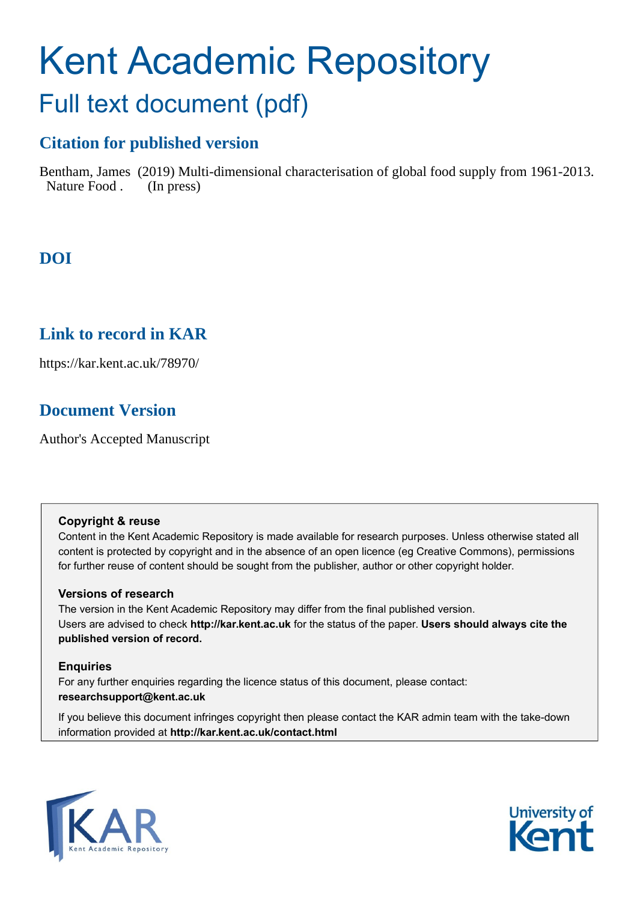# Kent Academic Repository Full text document (pdf)

# **Citation for published version**

Bentham, James (2019) Multi-dimensional characterisation of global food supply from 1961-2013. Nature Food . (In press)

# **DOI**

# **Link to record in KAR**

https://kar.kent.ac.uk/78970/

# **Document Version**

Author's Accepted Manuscript

## **Copyright & reuse**

Content in the Kent Academic Repository is made available for research purposes. Unless otherwise stated all content is protected by copyright and in the absence of an open licence (eg Creative Commons), permissions for further reuse of content should be sought from the publisher, author or other copyright holder.

## **Versions of research**

The version in the Kent Academic Repository may differ from the final published version. Users are advised to check **http://kar.kent.ac.uk** for the status of the paper. **Users should always cite the published version of record.**

## **Enquiries**

For any further enquiries regarding the licence status of this document, please contact: **researchsupport@kent.ac.uk**

If you believe this document infringes copyright then please contact the KAR admin team with the take-down information provided at **http://kar.kent.ac.uk/contact.html**



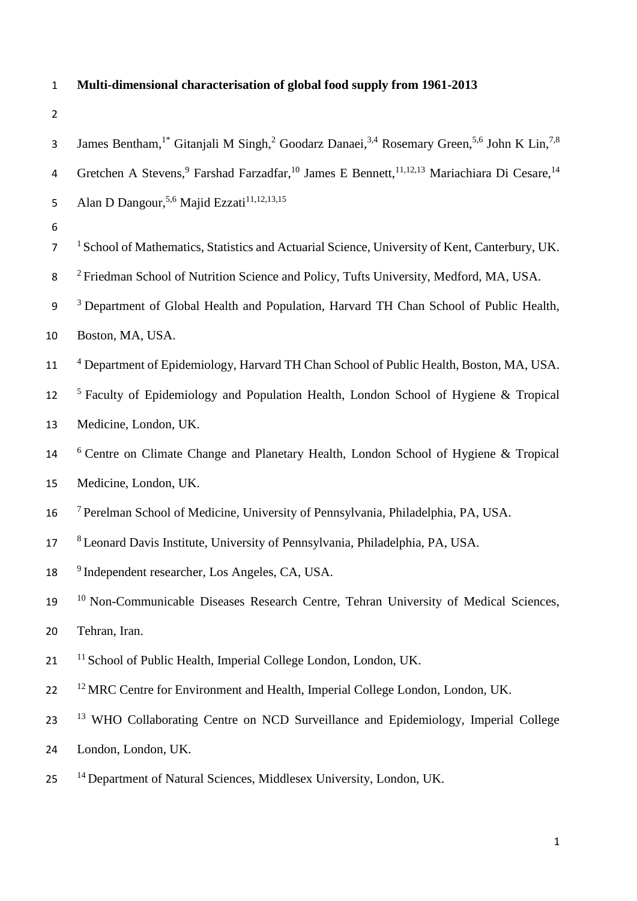# 1 **Multi-dimensional characterisation of global food supply from 1961-2013**

| 3              | James Bentham, <sup>1*</sup> Gitanjali M Singh, <sup>2</sup> Goodarz Danaei, <sup>3,4</sup> Rosemary Green, <sup>5,6</sup> John K Lin, <sup>7,8</sup> |
|----------------|-------------------------------------------------------------------------------------------------------------------------------------------------------|
| 4              | Gretchen A Stevens, <sup>9</sup> Farshad Farzadfar, <sup>10</sup> James E Bennett, <sup>11,12,13</sup> Mariachiara Di Cesare, <sup>14</sup>           |
| 5              | Alan D Dangour, <sup>5,6</sup> Majid Ezzati <sup>11,12,13,15</sup>                                                                                    |
| 6              |                                                                                                                                                       |
| $\overline{7}$ | <sup>1</sup> School of Mathematics, Statistics and Actuarial Science, University of Kent, Canterbury, UK.                                             |
| 8              | <sup>2</sup> Friedman School of Nutrition Science and Policy, Tufts University, Medford, MA, USA.                                                     |
| 9              | <sup>3</sup> Department of Global Health and Population, Harvard TH Chan School of Public Health,                                                     |
| 10             | Boston, MA, USA.                                                                                                                                      |
| 11             | <sup>4</sup> Department of Epidemiology, Harvard TH Chan School of Public Health, Boston, MA, USA.                                                    |
| 12             | <sup>5</sup> Faculty of Epidemiology and Population Health, London School of Hygiene & Tropical                                                       |
| 13             | Medicine, London, UK.                                                                                                                                 |
| $14\,$         | <sup>6</sup> Centre on Climate Change and Planetary Health, London School of Hygiene & Tropical                                                       |
| 15             | Medicine, London, UK.                                                                                                                                 |
| 16             | <sup>7</sup> Perelman School of Medicine, University of Pennsylvania, Philadelphia, PA, USA.                                                          |
| 17             | <sup>8</sup> Leonard Davis Institute, University of Pennsylvania, Philadelphia, PA, USA.                                                              |
| 18             | <sup>9</sup> Independent researcher, Los Angeles, CA, USA.                                                                                            |
| 19             | <sup>10</sup> Non-Communicable Diseases Research Centre, Tehran University of Medical Sciences,                                                       |
| 20             | Tehran, Iran.                                                                                                                                         |
| 21             | <sup>11</sup> School of Public Health, Imperial College London, London, UK.                                                                           |
| 22             | <sup>12</sup> MRC Centre for Environment and Health, Imperial College London, London, UK.                                                             |
| 23             | <sup>13</sup> WHO Collaborating Centre on NCD Surveillance and Epidemiology, Imperial College                                                         |
| 24             | London, London, UK.                                                                                                                                   |
| 25             | <sup>14</sup> Department of Natural Sciences, Middlesex University, London, UK.                                                                       |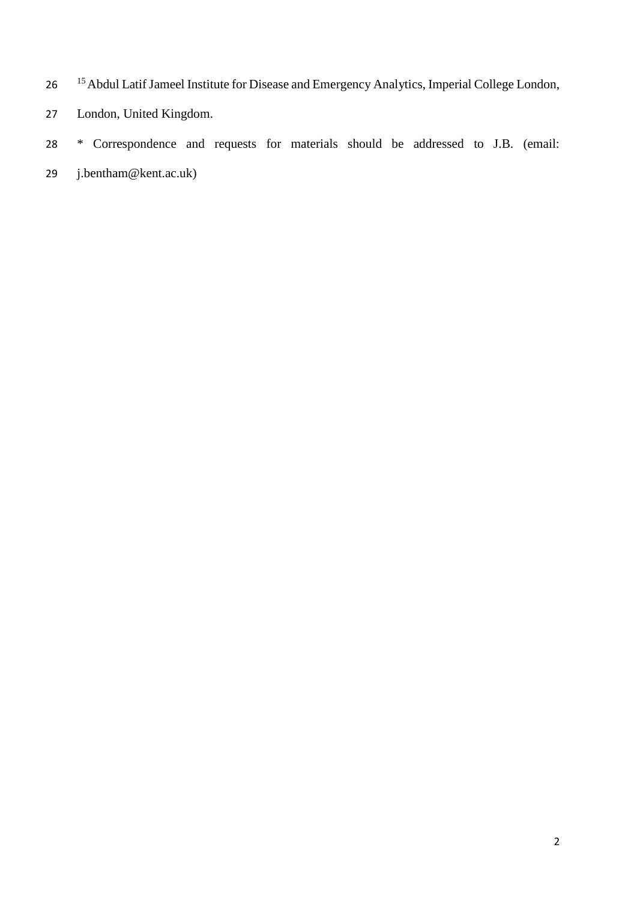- <sup>15</sup> Abdul Latif Jameel Institute for Disease and Emergency Analytics, Imperial College London,
- London, United Kingdom.
- \* Correspondence and requests for materials should be addressed to J.B. (email:
- j.bentham@kent.ac.uk)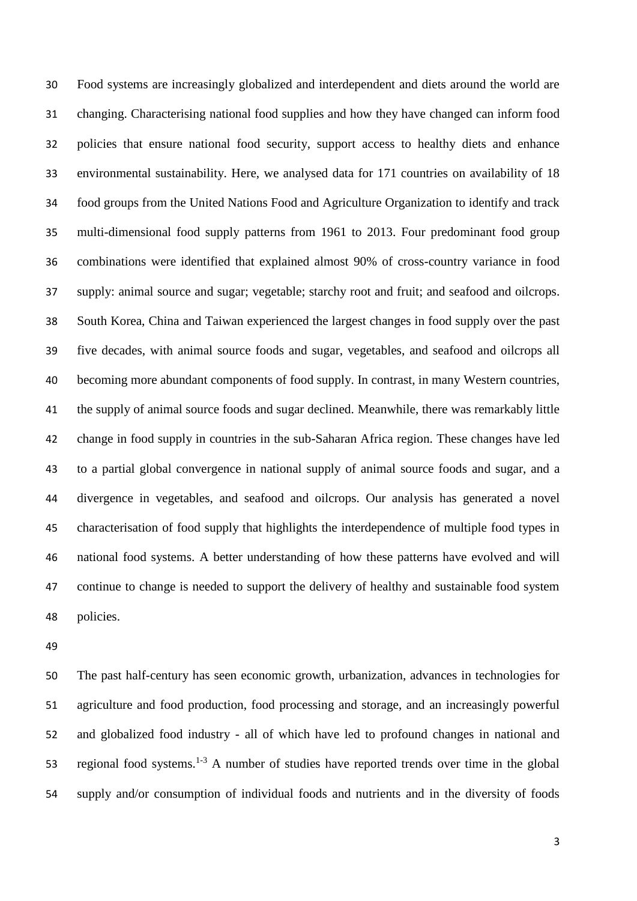Food systems are increasingly globalized and interdependent and diets around the world are changing. Characterising national food supplies and how they have changed can inform food policies that ensure national food security, support access to healthy diets and enhance environmental sustainability. Here, we analysed data for 171 countries on availability of 18 food groups from the United Nations Food and Agriculture Organization to identify and track multi-dimensional food supply patterns from 1961 to 2013. Four predominant food group combinations were identified that explained almost 90% of cross-country variance in food supply: animal source and sugar; vegetable; starchy root and fruit; and seafood and oilcrops. South Korea, China and Taiwan experienced the largest changes in food supply over the past five decades, with animal source foods and sugar, vegetables, and seafood and oilcrops all becoming more abundant components of food supply. In contrast, in many Western countries, the supply of animal source foods and sugar declined. Meanwhile, there was remarkably little change in food supply in countries in the sub-Saharan Africa region. These changes have led to a partial global convergence in national supply of animal source foods and sugar, and a divergence in vegetables, and seafood and oilcrops. Our analysis has generated a novel characterisation of food supply that highlights the interdependence of multiple food types in national food systems. A better understanding of how these patterns have evolved and will continue to change is needed to support the delivery of healthy and sustainable food system policies.

 The past half-century has seen economic growth, urbanization, advances in technologies for agriculture and food production, food processing and storage, and an increasingly powerful and globalized food industry - all of which have led to profound changes in national and 53 regional food systems.<sup>1-3</sup> A number of studies have reported trends over time in the global supply and/or consumption of individual foods and nutrients and in the diversity of foods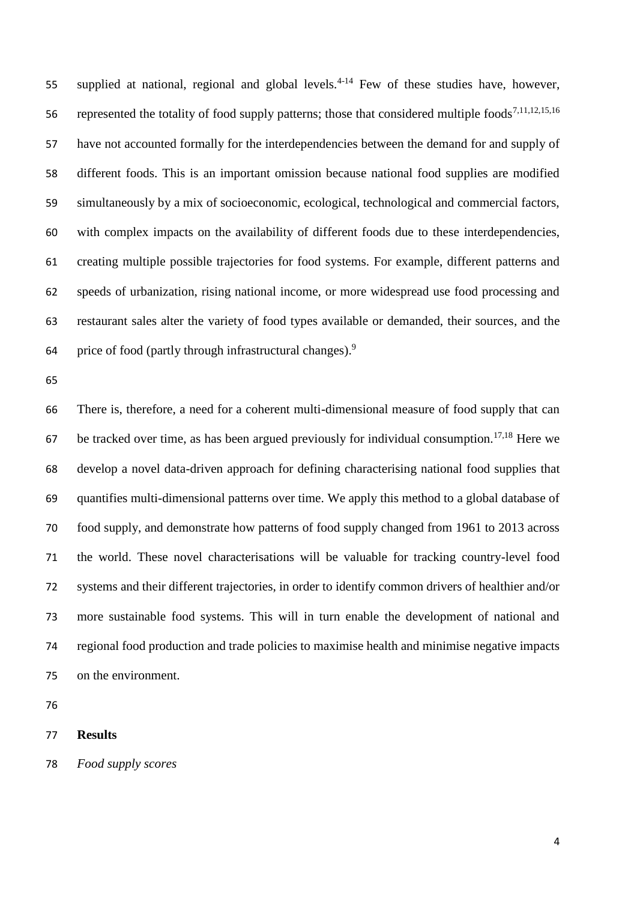55 supplied at national, regional and global levels.<sup>4-14</sup> Few of these studies have, however, 56 represented the totality of food supply patterns; those that considered multiple foods<sup>7,11,12,15,16</sup> have not accounted formally for the interdependencies between the demand for and supply of different foods. This is an important omission because national food supplies are modified simultaneously by a mix of socioeconomic, ecological, technological and commercial factors, with complex impacts on the availability of different foods due to these interdependencies, creating multiple possible trajectories for food systems. For example, different patterns and speeds of urbanization, rising national income, or more widespread use food processing and restaurant sales alter the variety of food types available or demanded, their sources, and the price of food (partly through infrastructural changes).<sup>9</sup> 

 There is, therefore, a need for a coherent multi-dimensional measure of food supply that can 67 be tracked over time, as has been argued previously for individual consumption.<sup>17,18</sup> Here we develop a novel data-driven approach for defining characterising national food supplies that quantifies multi-dimensional patterns over time. We apply this method to a global database of food supply, and demonstrate how patterns of food supply changed from 1961 to 2013 across the world. These novel characterisations will be valuable for tracking country-level food systems and their different trajectories, in order to identify common drivers of healthier and/or more sustainable food systems. This will in turn enable the development of national and regional food production and trade policies to maximise health and minimise negative impacts on the environment.

### **Results**

*Food supply scores*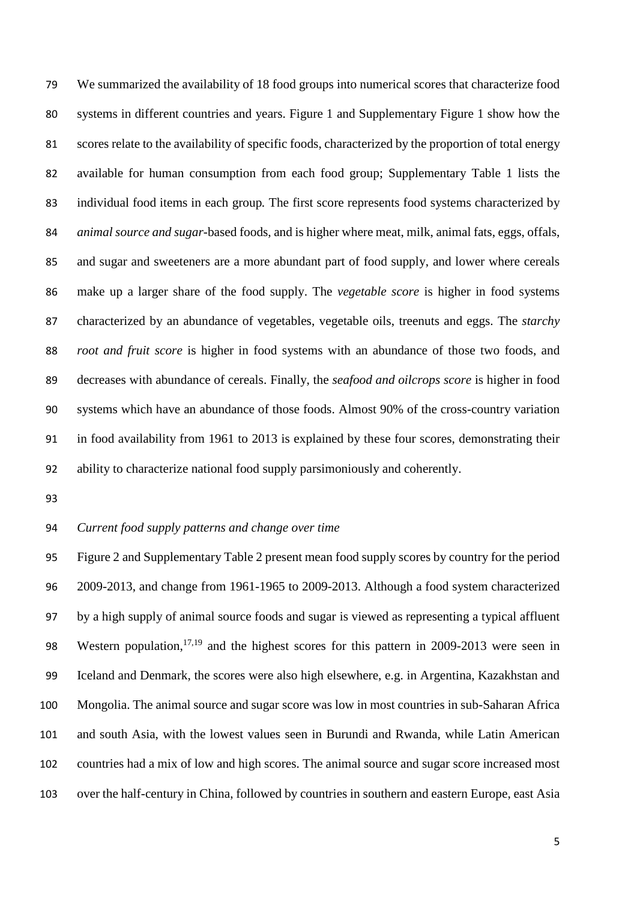We summarized the availability of 18 food groups into numerical scores that characterize food systems in different countries and years. Figure 1 and Supplementary Figure 1 show how the scores relate to the availability of specific foods, characterized by the proportion of total energy available for human consumption from each food group; Supplementary Table 1 lists the individual food items in each group*.* The first score represents food systems characterized by *animal source and sugar*-based foods, and is higher where meat, milk, animal fats, eggs, offals, and sugar and sweeteners are a more abundant part of food supply, and lower where cereals make up a larger share of the food supply. The *vegetable score* is higher in food systems characterized by an abundance of vegetables, vegetable oils, treenuts and eggs. The *starchy root and fruit score* is higher in food systems with an abundance of those two foods, and decreases with abundance of cereals. Finally, the *seafood and oilcrops score* is higher in food systems which have an abundance of those foods. Almost 90% of the cross-country variation in food availability from 1961 to 2013 is explained by these four scores, demonstrating their ability to characterize national food supply parsimoniously and coherently.

#### *Current food supply patterns and change over time*

 Figure 2 and Supplementary Table 2 present mean food supply scores by country for the period 2009-2013, and change from 1961-1965 to 2009-2013. Although a food system characterized by a high supply of animal source foods and sugar is viewed as representing a typical affluent 98 Western population,<sup>17,19</sup> and the highest scores for this pattern in 2009-2013 were seen in Iceland and Denmark, the scores were also high elsewhere, e.g. in Argentina, Kazakhstan and Mongolia. The animal source and sugar score was low in most countries in sub-Saharan Africa and south Asia, with the lowest values seen in Burundi and Rwanda, while Latin American countries had a mix of low and high scores. The animal source and sugar score increased most over the half-century in China, followed by countries in southern and eastern Europe, east Asia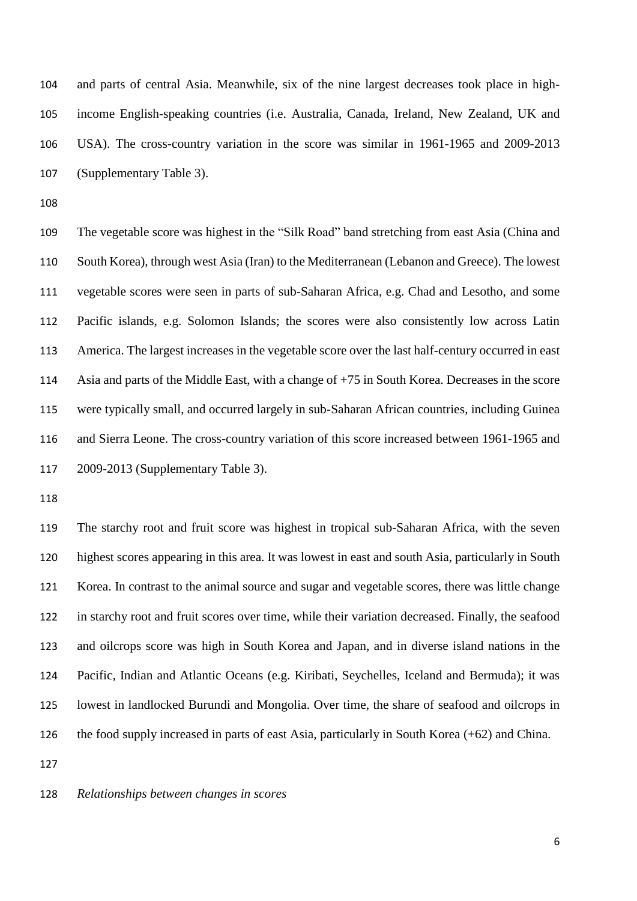and parts of central Asia. Meanwhile, six of the nine largest decreases took place in high- income English-speaking countries (i.e. Australia, Canada, Ireland, New Zealand, UK and USA). The cross-country variation in the score was similar in 1961-1965 and 2009-2013 (Supplementary Table 3).

 The vegetable score was highest in the "Silk Road" band stretching from east Asia (China and South Korea), through west Asia (Iran) to the Mediterranean (Lebanon and Greece). The lowest vegetable scores were seen in parts of sub-Saharan Africa, e.g. Chad and Lesotho, and some Pacific islands, e.g. Solomon Islands; the scores were also consistently low across Latin America. The largest increases in the vegetable score over the last half-century occurred in east Asia and parts of the Middle East, with a change of +75 in South Korea. Decreases in the score were typically small, and occurred largely in sub-Saharan African countries, including Guinea and Sierra Leone. The cross-country variation of this score increased between 1961-1965 and 2009-2013 (Supplementary Table 3).

 The starchy root and fruit score was highest in tropical sub-Saharan Africa, with the seven highest scores appearing in this area. It was lowest in east and south Asia, particularly in South Korea. In contrast to the animal source and sugar and vegetable scores, there was little change in starchy root and fruit scores over time, while their variation decreased. Finally, the seafood and oilcrops score was high in South Korea and Japan, and in diverse island nations in the Pacific, Indian and Atlantic Oceans (e.g. Kiribati, Seychelles, Iceland and Bermuda); it was lowest in landlocked Burundi and Mongolia. Over time, the share of seafood and oilcrops in the food supply increased in parts of east Asia, particularly in South Korea (+62) and China.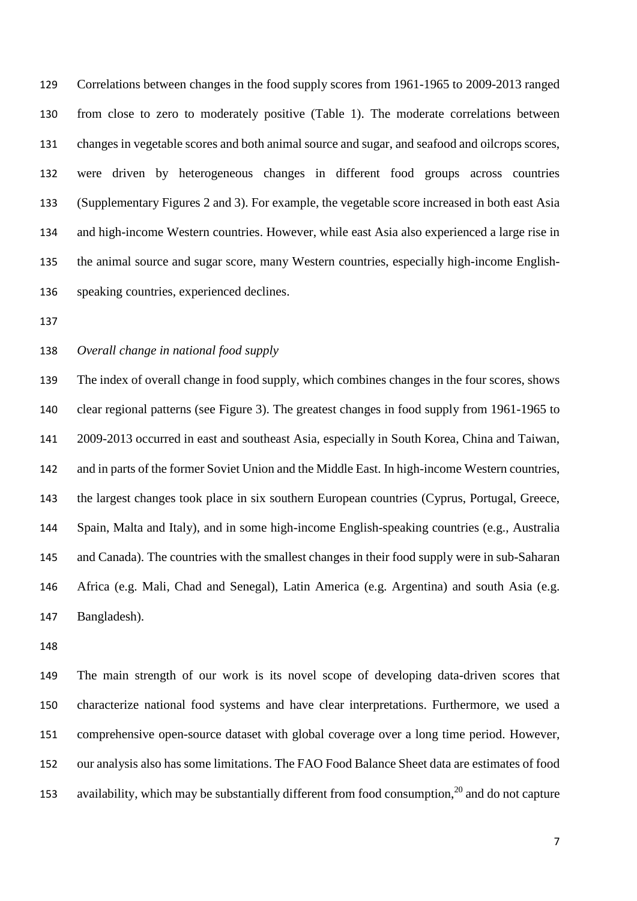Correlations between changes in the food supply scores from 1961-1965 to 2009-2013 ranged from close to zero to moderately positive (Table 1). The moderate correlations between changes in vegetable scores and both animal source and sugar, and seafood and oilcrops scores, were driven by heterogeneous changes in different food groups across countries (Supplementary Figures 2 and 3). For example, the vegetable score increased in both east Asia and high-income Western countries. However, while east Asia also experienced a large rise in the animal source and sugar score, many Western countries, especially high-income English-speaking countries, experienced declines.

## *Overall change in national food supply*

 The index of overall change in food supply, which combines changes in the four scores, shows clear regional patterns (see Figure 3). The greatest changes in food supply from 1961-1965 to 2009-2013 occurred in east and southeast Asia, especially in South Korea, China and Taiwan, and in parts of the former Soviet Union and the Middle East. In high-income Western countries, the largest changes took place in six southern European countries (Cyprus, Portugal, Greece, Spain, Malta and Italy), and in some high-income English-speaking countries (e.g., Australia and Canada). The countries with the smallest changes in their food supply were in sub-Saharan Africa (e.g. Mali, Chad and Senegal), Latin America (e.g. Argentina) and south Asia (e.g. Bangladesh).

 The main strength of our work is its novel scope of developing data-driven scores that characterize national food systems and have clear interpretations. Furthermore, we used a comprehensive open-source dataset with global coverage over a long time period. However, our analysis also has some limitations. The FAO Food Balance Sheet data are estimates of food 153 availability, which may be substantially different from food consumption, and do not capture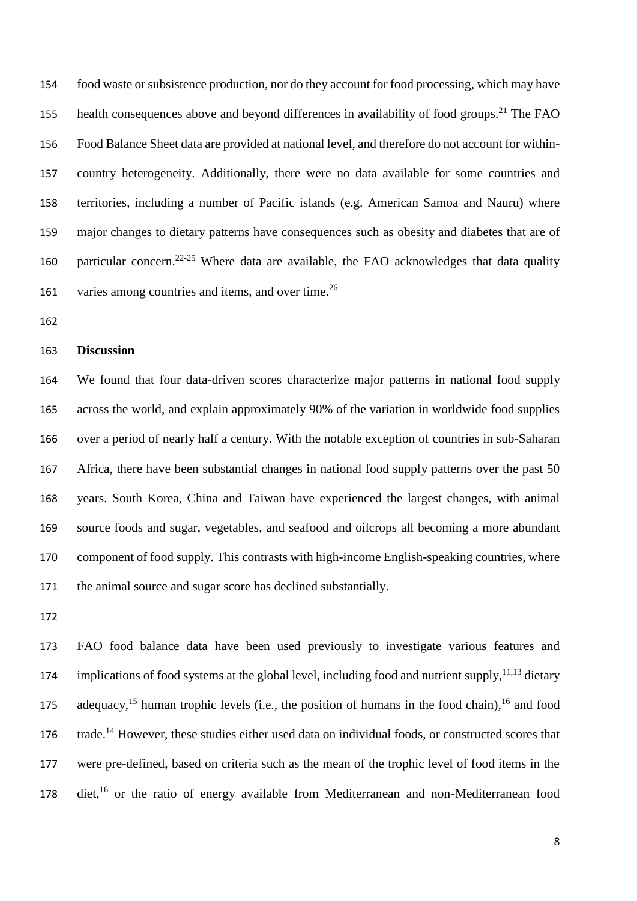food waste or subsistence production, nor do they account for food processing, which may have 155 health consequences above and beyond differences in availability of food groups.<sup>21</sup> The FAO Food Balance Sheet data are provided at national level, and therefore do not account for within- country heterogeneity. Additionally, there were no data available for some countries and territories, including a number of Pacific islands (e.g. American Samoa and Nauru) where major changes to dietary patterns have consequences such as obesity and diabetes that are of 160 particular concern. <sup>22-25</sup> Where data are available, the FAO acknowledges that data quality 161 varies among countries and items, and over time.<sup>26</sup>

#### **Discussion**

 We found that four data-driven scores characterize major patterns in national food supply across the world, and explain approximately 90% of the variation in worldwide food supplies over a period of nearly half a century. With the notable exception of countries in sub-Saharan Africa, there have been substantial changes in national food supply patterns over the past 50 years. South Korea, China and Taiwan have experienced the largest changes, with animal source foods and sugar, vegetables, and seafood and oilcrops all becoming a more abundant component of food supply. This contrasts with high-income English-speaking countries, where the animal source and sugar score has declined substantially.

 FAO food balance data have been used previously to investigate various features and 174 implications of food systems at the global level, including food and nutrient supply,  $11,13$  dietary 175 adequacy,<sup>15</sup> human trophic levels (i.e., the position of humans in the food chain), <sup>16</sup> and food 176 trade.<sup>14</sup> However, these studies either used data on individual foods, or constructed scores that were pre-defined, based on criteria such as the mean of the trophic level of food items in the 178 diet,<sup>16</sup> or the ratio of energy available from Mediterranean and non-Mediterranean food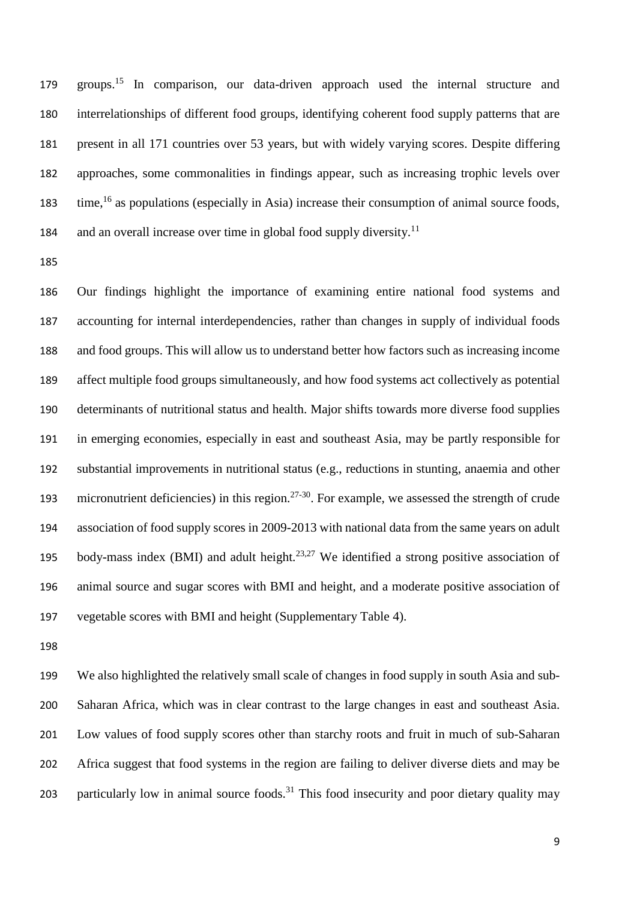179 groups.<sup>15</sup> In comparison, our data-driven approach used the internal structure and interrelationships of different food groups, identifying coherent food supply patterns that are present in all 171 countries over 53 years, but with widely varying scores. Despite differing approaches, some commonalities in findings appear, such as increasing trophic levels over 183 time,<sup>16</sup> as populations (especially in Asia) increase their consumption of animal source foods, 184 and an overall increase over time in global food supply diversity.<sup>11</sup>

 Our findings highlight the importance of examining entire national food systems and accounting for internal interdependencies, rather than changes in supply of individual foods and food groups. This will allow us to understand better how factors such as increasing income affect multiple food groups simultaneously, and how food systems act collectively as potential determinants of nutritional status and health. Major shifts towards more diverse food supplies in emerging economies, especially in east and southeast Asia, may be partly responsible for substantial improvements in nutritional status (e.g., reductions in stunting, anaemia and other 193 micronutrient deficiencies) in this region.<sup>27-30</sup>. For example, we assessed the strength of crude association of food supply scores in 2009-2013 with national data from the same years on adult 195 body-mass index (BMI) and adult height.<sup>23,27</sup> We identified a strong positive association of animal source and sugar scores with BMI and height, and a moderate positive association of vegetable scores with BMI and height (Supplementary Table 4).

 We also highlighted the relatively small scale of changes in food supply in south Asia and sub- Saharan Africa, which was in clear contrast to the large changes in east and southeast Asia. Low values of food supply scores other than starchy roots and fruit in much of sub-Saharan Africa suggest that food systems in the region are failing to deliver diverse diets and may be 203 particularly low in animal source foods.<sup>31</sup> This food insecurity and poor dietary quality may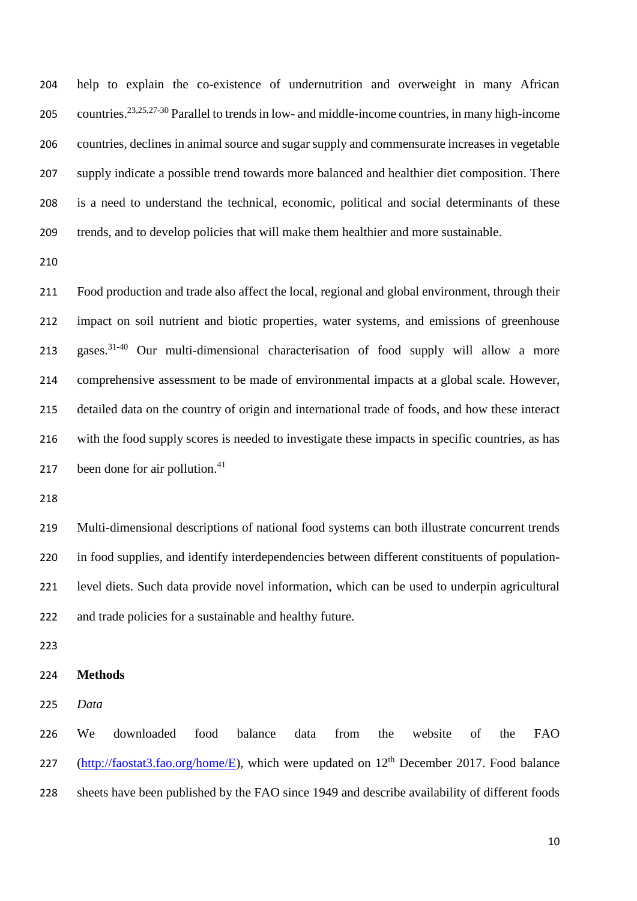help to explain the co-existence of undernutrition and overweight in many African 205 countries.<sup>23,25,27-30</sup> Parallel to trends in low- and middle-income countries, in many high-income countries, declines in animal source and sugar supply and commensurate increases in vegetable supply indicate a possible trend towards more balanced and healthier diet composition. There is a need to understand the technical, economic, political and social determinants of these trends, and to develop policies that will make them healthier and more sustainable.

 Food production and trade also affect the local, regional and global environment, through their impact on soil nutrient and biotic properties, water systems, and emissions of greenhouse 213 gases.<sup>31-40</sup> Our multi-dimensional characterisation of food supply will allow a more comprehensive assessment to be made of environmental impacts at a global scale. However, detailed data on the country of origin and international trade of foods, and how these interact with the food supply scores is needed to investigate these impacts in specific countries, as has 217 been done for air pollution.

 Multi-dimensional descriptions of national food systems can both illustrate concurrent trends in food supplies, and identify interdependencies between different constituents of population- level diets. Such data provide novel information, which can be used to underpin agricultural and trade policies for a sustainable and healthy future.

**Methods**

*Data*

 We downloaded food balance data from the website of the FAO 227 [\(http://faostat3.fao.org/home/E\)](http://faostat3.fao.org/home/E), which were updated on  $12<sup>th</sup>$  December 2017. Food balance sheets have been published by the FAO since 1949 and describe availability of different foods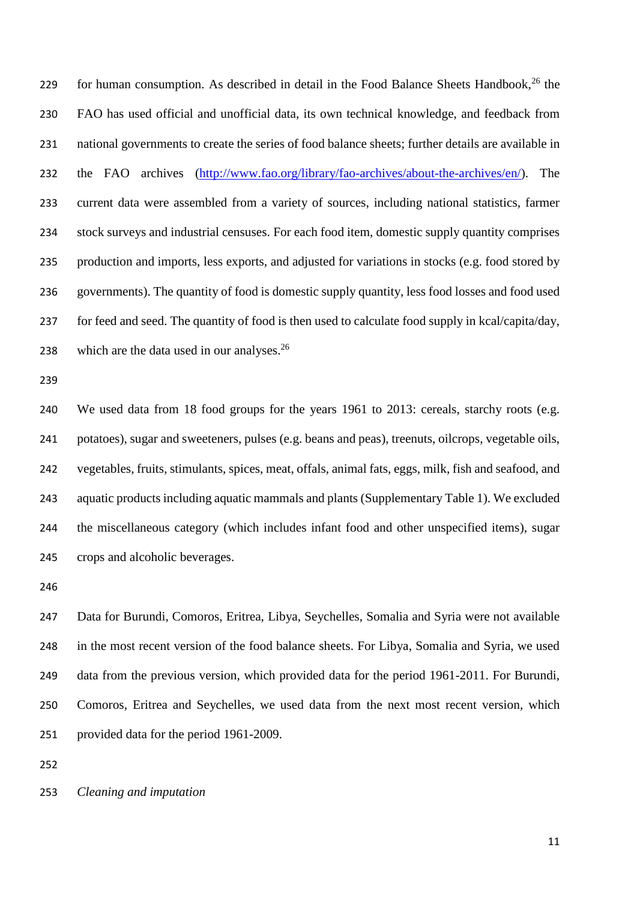for human consumption. As described in detail in the Food Balance Sheets Handbook, the FAO has used official and unofficial data, its own technical knowledge, and feedback from national governments to create the series of food balance sheets; further details are available in the FAO archives [\(http://www.fao.org/library/fao-archives/about-the-archives/en/\)](http://www.fao.org/library/fao-archives/about-the-archives/en/). The current data were assembled from a variety of sources, including national statistics, farmer stock surveys and industrial censuses. For each food item, domestic supply quantity comprises production and imports, less exports, and adjusted for variations in stocks (e.g. food stored by governments). The quantity of food is domestic supply quantity, less food losses and food used for feed and seed. The quantity of food is then used to calculate food supply in kcal/capita/day, 238 which are the data used in our analyses.

 We used data from 18 food groups for the years 1961 to 2013: cereals, starchy roots (e.g. potatoes), sugar and sweeteners, pulses (e.g. beans and peas), treenuts, oilcrops, vegetable oils, vegetables, fruits, stimulants, spices, meat, offals, animal fats, eggs, milk, fish and seafood, and aquatic products including aquatic mammals and plants (Supplementary Table 1). We excluded the miscellaneous category (which includes infant food and other unspecified items), sugar crops and alcoholic beverages.

 Data for Burundi, Comoros, Eritrea, Libya, Seychelles, Somalia and Syria were not available in the most recent version of the food balance sheets. For Libya, Somalia and Syria, we used data from the previous version, which provided data for the period 1961-2011. For Burundi, Comoros, Eritrea and Seychelles, we used data from the next most recent version, which provided data for the period 1961-2009.

*Cleaning and imputation*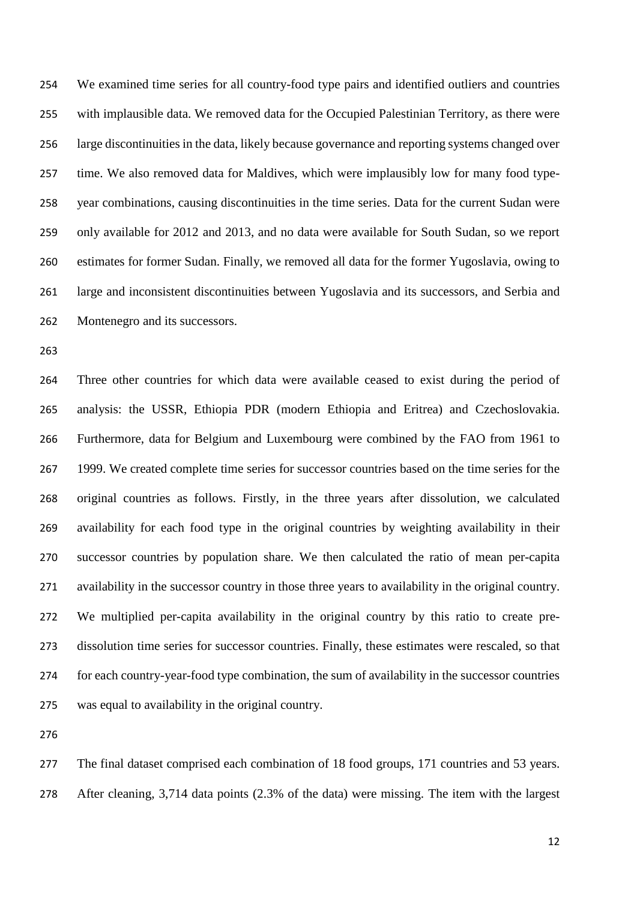We examined time series for all country-food type pairs and identified outliers and countries with implausible data. We removed data for the Occupied Palestinian Territory, as there were large discontinuities in the data, likely because governance and reporting systems changed over time. We also removed data for Maldives, which were implausibly low for many food type- year combinations, causing discontinuities in the time series. Data for the current Sudan were only available for 2012 and 2013, and no data were available for South Sudan, so we report estimates for former Sudan. Finally, we removed all data for the former Yugoslavia, owing to large and inconsistent discontinuities between Yugoslavia and its successors, and Serbia and Montenegro and its successors.

 Three other countries for which data were available ceased to exist during the period of analysis: the USSR, Ethiopia PDR (modern Ethiopia and Eritrea) and Czechoslovakia. Furthermore, data for Belgium and Luxembourg were combined by the FAO from 1961 to 1999. We created complete time series for successor countries based on the time series for the original countries as follows. Firstly, in the three years after dissolution, we calculated availability for each food type in the original countries by weighting availability in their successor countries by population share. We then calculated the ratio of mean per-capita availability in the successor country in those three years to availability in the original country. We multiplied per-capita availability in the original country by this ratio to create pre- dissolution time series for successor countries. Finally, these estimates were rescaled, so that for each country-year-food type combination, the sum of availability in the successor countries was equal to availability in the original country.

 The final dataset comprised each combination of 18 food groups, 171 countries and 53 years. After cleaning, 3,714 data points (2.3% of the data) were missing. The item with the largest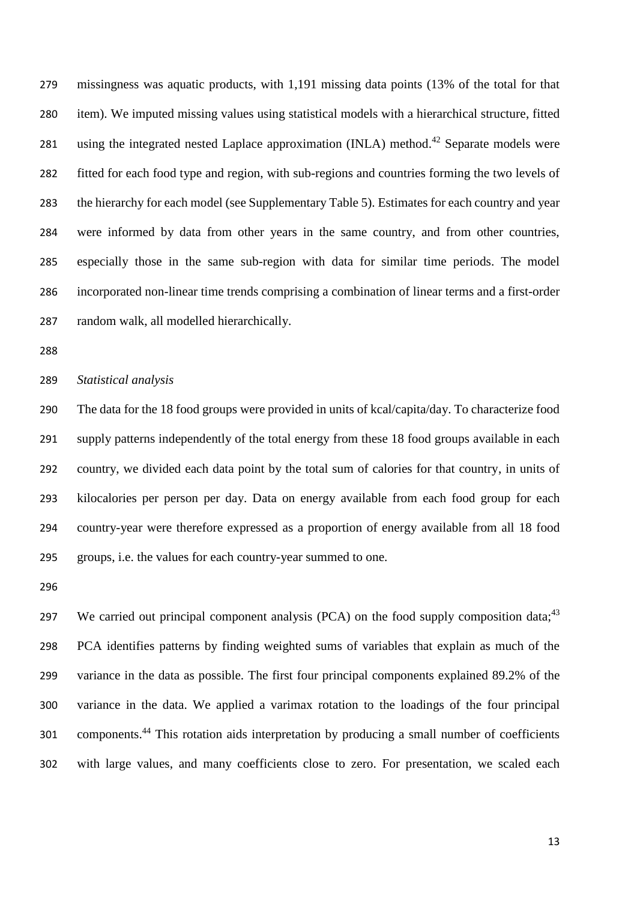missingness was aquatic products, with 1,191 missing data points (13% of the total for that item). We imputed missing values using statistical models with a hierarchical structure, fitted 281 using the integrated nested Laplace approximation (INLA) method.<sup>42</sup> Separate models were fitted for each food type and region, with sub-regions and countries forming the two levels of the hierarchy for each model (see Supplementary Table 5). Estimates for each country and year were informed by data from other years in the same country, and from other countries, especially those in the same sub-region with data for similar time periods. The model incorporated non-linear time trends comprising a combination of linear terms and a first-order random walk, all modelled hierarchically.

#### *Statistical analysis*

 The data for the 18 food groups were provided in units of kcal/capita/day. To characterize food supply patterns independently of the total energy from these 18 food groups available in each country, we divided each data point by the total sum of calories for that country, in units of kilocalories per person per day. Data on energy available from each food group for each country-year were therefore expressed as a proportion of energy available from all 18 food groups, i.e. the values for each country-year summed to one.

297 We carried out principal component analysis (PCA) on the food supply composition data;<sup>43</sup> PCA identifies patterns by finding weighted sums of variables that explain as much of the variance in the data as possible. The first four principal components explained 89.2% of the variance in the data. We applied a varimax rotation to the loadings of the four principal 301 components.<sup>44</sup> This rotation aids interpretation by producing a small number of coefficients with large values, and many coefficients close to zero. For presentation, we scaled each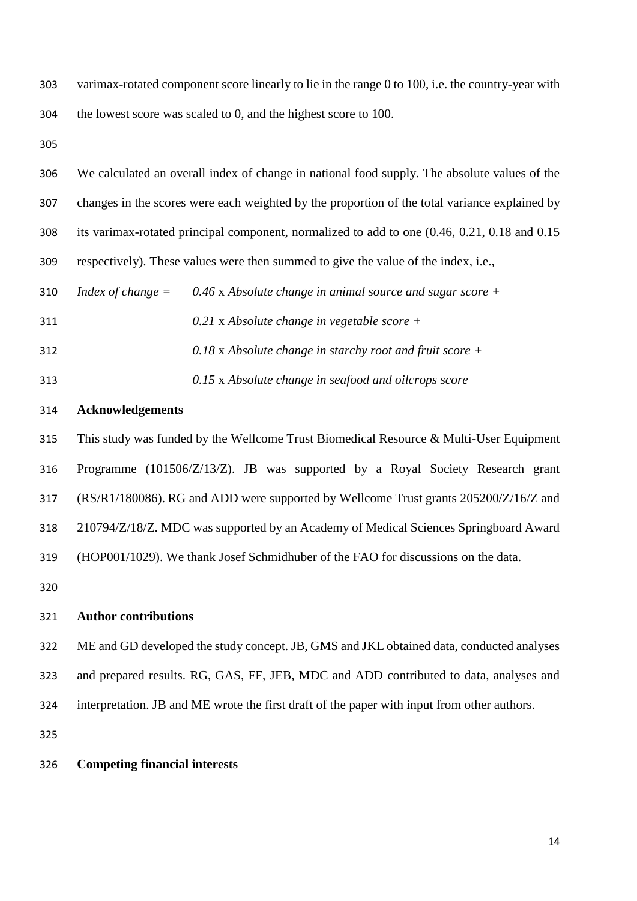varimax-rotated component score linearly to lie in the range 0 to 100, i.e. the country-year with the lowest score was scaled to 0, and the highest score to 100.

 We calculated an overall index of change in national food supply. The absolute values of the changes in the scores were each weighted by the proportion of the total variance explained by its varimax-rotated principal component, normalized to add to one (0.46, 0.21, 0.18 and 0.15 respectively). These values were then summed to give the value of the index, i.e., *Index of change = 0.46* x *Absolute change in animal source and sugar score + 0.21* x *Absolute change in vegetable score + 0.18* x *Absolute change in starchy root and fruit score + 0.15* x *Absolute change in seafood and oilcrops score*

#### **Acknowledgements**

 This study was funded by the Wellcome Trust Biomedical Resource & Multi-User Equipment Programme (101506/Z/13/Z). JB was supported by a Royal Society Research grant (RS/R1/180086). RG and ADD were supported by Wellcome Trust grants 205200/Z/16/Z and 210794/Z/18/Z. MDC was supported by an Academy of Medical Sciences Springboard Award (HOP001/1029). We thank Josef Schmidhuber of the FAO for discussions on the data. 

## **Author contributions**

- ME and GD developed the study concept. JB, GMS and JKL obtained data, conducted analyses
- and prepared results. RG, GAS, FF, JEB, MDC and ADD contributed to data, analyses and
- interpretation. JB and ME wrote the first draft of the paper with input from other authors.

#### **Competing financial interests**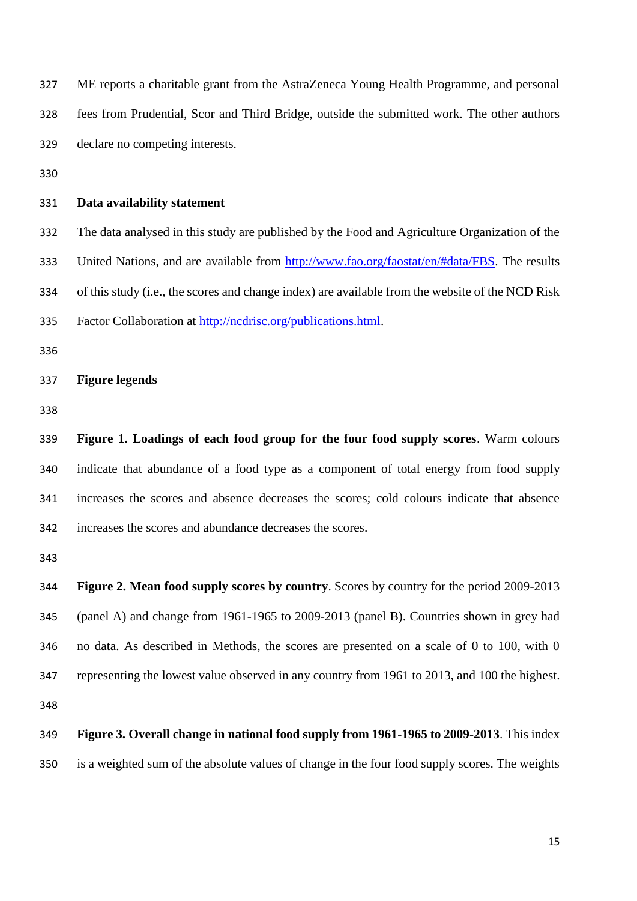ME reports a charitable grant from the AstraZeneca Young Health Programme, and personal fees from Prudential, Scor and Third Bridge, outside the submitted work. The other authors declare no competing interests.

#### **Data availability statement**

 The data analysed in this study are published by the Food and Agriculture Organization of the 333 United Nations, and are available from [http://www.fao.org/faostat/en/#data/FBS.](http://www.fao.org/faostat/en/#data/FBS) The results of this study (i.e., the scores and change index) are available from the website of the NCD Risk Factor Collaboration at [http://ncdrisc.org/publications.html.](http://ncdrisc.org/publications.html)

#### **Figure legends**

 **Figure 1. Loadings of each food group for the four food supply scores**. Warm colours indicate that abundance of a food type as a component of total energy from food supply increases the scores and absence decreases the scores; cold colours indicate that absence increases the scores and abundance decreases the scores.

 **Figure 2. Mean food supply scores by country**. Scores by country for the period 2009-2013 (panel A) and change from 1961-1965 to 2009-2013 (panel B). Countries shown in grey had no data. As described in Methods, the scores are presented on a scale of 0 to 100, with 0 representing the lowest value observed in any country from 1961 to 2013, and 100 the highest. 

 **Figure 3. Overall change in national food supply from 1961-1965 to 2009-2013**. This index is a weighted sum of the absolute values of change in the four food supply scores. The weights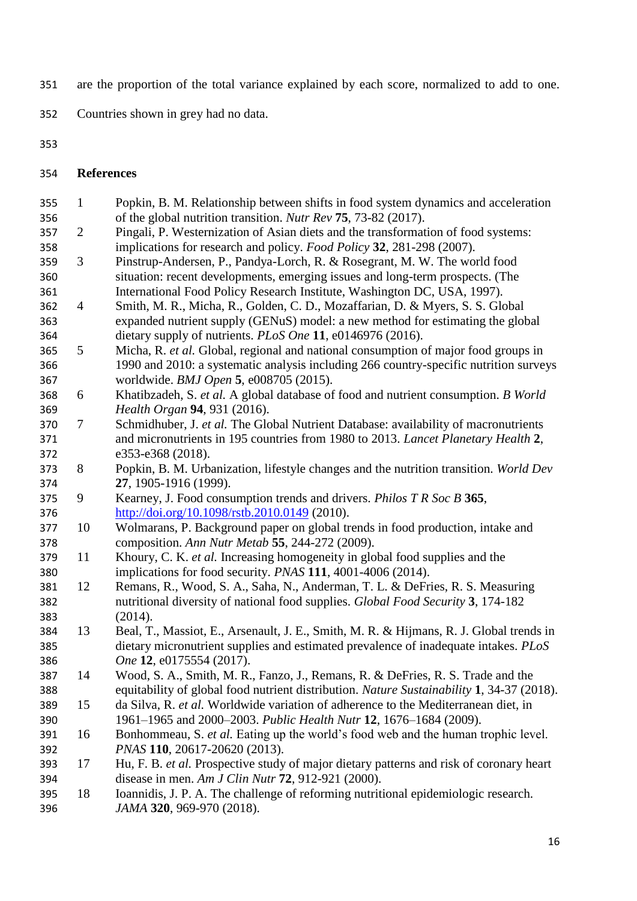- are the proportion of the total variance explained by each score, normalized to add to one.
- Countries shown in grey had no data.
- 
- **References**
- 1 Popkin, B. M. Relationship between shifts in food system dynamics and acceleration of the global nutrition transition. *Nutr Rev* **75**, 73-82 (2017). 2 Pingali, P. Westernization of Asian diets and the transformation of food systems: implications for research and policy. *Food Policy* **32**, 281-298 (2007). 3 Pinstrup-Andersen, P., Pandya-Lorch, R. & Rosegrant, M. W. The world food situation: recent developments, emerging issues and long-term prospects. (The International Food Policy Research Institute, Washington DC, USA, 1997). 4 Smith, M. R., Micha, R., Golden, C. D., Mozaffarian, D. & Myers, S. S. Global expanded nutrient supply (GENuS) model: a new method for estimating the global dietary supply of nutrients. *PLoS One* **11**, e0146976 (2016). 5 Micha, R. *et al.* Global, regional and national consumption of major food groups in 1990 and 2010: a systematic analysis including 266 country-specific nutrition surveys worldwide. *BMJ Open* **5**, e008705 (2015). 6 Khatibzadeh, S. *et al.* A global database of food and nutrient consumption. *B World Health Organ* **94**, 931 (2016). 7 Schmidhuber, J. *et al.* The Global Nutrient Database: availability of macronutrients and micronutrients in 195 countries from 1980 to 2013. *Lancet Planetary Health* **2**, e353-e368 (2018). 8 Popkin, B. M. Urbanization, lifestyle changes and the nutrition transition. *World Dev* **27**, 1905-1916 (1999). 9 Kearney, J. Food consumption trends and drivers. *Philos T R Soc B* **365**, <http://doi.org/10.1098/rstb.2010.0149> (2010). 10 Wolmarans, P. Background paper on global trends in food production, intake and composition. *Ann Nutr Metab* **55**, 244-272 (2009). 11 Khoury, C. K. *et al.* Increasing homogeneity in global food supplies and the implications for food security. *PNAS* **111**, 4001-4006 (2014). 12 Remans, R., Wood, S. A., Saha, N., Anderman, T. L. & DeFries, R. S. Measuring nutritional diversity of national food supplies. *Global Food Security* **3**, 174-182 (2014). 13 Beal, T., Massiot, E., Arsenault, J. E., Smith, M. R. & Hijmans, R. J. Global trends in dietary micronutrient supplies and estimated prevalence of inadequate intakes. *PLoS One* **12**, e0175554 (2017). 14 Wood, S. A., Smith, M. R., Fanzo, J., Remans, R. & DeFries, R. S. Trade and the equitability of global food nutrient distribution. *Nature Sustainability* **1**, 34-37 (2018). 15 da Silva, R. *et al.* Worldwide variation of adherence to the Mediterranean diet, in 1961–1965 and 2000–2003. *Public Health Nutr* **12**, 1676–1684 (2009). 16 Bonhommeau, S. *et al.* Eating up the world's food web and the human trophic level. *PNAS* **110**, 20617-20620 (2013). 17 Hu, F. B. *et al.* Prospective study of major dietary patterns and risk of coronary heart disease in men. *Am J Clin Nutr* **72**, 912-921 (2000). 18 Ioannidis, J. P. A. The challenge of reforming nutritional epidemiologic research. *JAMA* **320**, 969-970 (2018).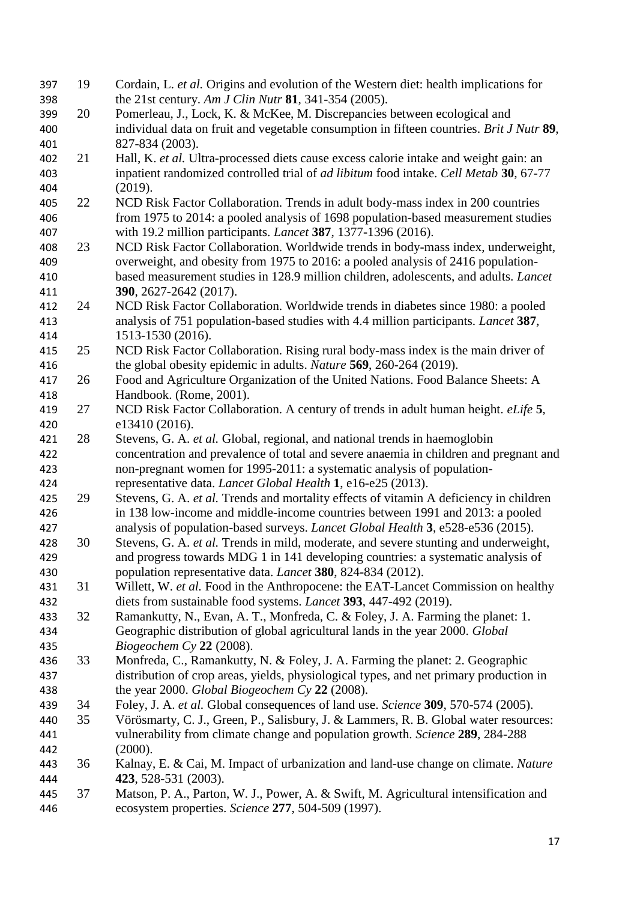| 397 | 19 | Cordain, L. et al. Origins and evolution of the Western diet: health implications for        |
|-----|----|----------------------------------------------------------------------------------------------|
| 398 |    | the 21st century. Am J Clin Nutr 81, 341-354 (2005).                                         |
| 399 | 20 | Pomerleau, J., Lock, K. & McKee, M. Discrepancies between ecological and                     |
| 400 |    | individual data on fruit and vegetable consumption in fifteen countries. Brit J Nutr 89,     |
| 401 |    | 827-834 (2003).                                                                              |
| 402 | 21 | Hall, K. et al. Ultra-processed diets cause excess calorie intake and weight gain: an        |
| 403 |    | inpatient randomized controlled trial of <i>ad libitum</i> food intake. Cell Metab 30, 67-77 |
| 404 |    | (2019).                                                                                      |
| 405 | 22 | NCD Risk Factor Collaboration. Trends in adult body-mass index in 200 countries              |
| 406 |    | from 1975 to 2014: a pooled analysis of 1698 population-based measurement studies            |
| 407 |    | with 19.2 million participants. <i>Lancet</i> 387, 1377-1396 (2016).                         |
| 408 | 23 | NCD Risk Factor Collaboration. Worldwide trends in body-mass index, underweight,             |
| 409 |    | overweight, and obesity from 1975 to 2016: a pooled analysis of 2416 population-             |
| 410 |    | based measurement studies in 128.9 million children, adolescents, and adults. Lancet         |
| 411 |    | 390, 2627-2642 (2017).                                                                       |
| 412 | 24 | NCD Risk Factor Collaboration. Worldwide trends in diabetes since 1980: a pooled             |
| 413 |    | analysis of 751 population-based studies with 4.4 million participants. Lancet 387,          |
| 414 |    | 1513-1530 (2016).                                                                            |
| 415 | 25 | NCD Risk Factor Collaboration. Rising rural body-mass index is the main driver of            |
| 416 |    | the global obesity epidemic in adults. Nature 569, 260-264 (2019).                           |
| 417 | 26 | Food and Agriculture Organization of the United Nations. Food Balance Sheets: A              |
| 418 |    | Handbook. (Rome, 2001).                                                                      |
| 419 | 27 | NCD Risk Factor Collaboration. A century of trends in adult human height. eLife 5,           |
| 420 |    | e13410 (2016).                                                                               |
| 421 | 28 | Stevens, G. A. et al. Global, regional, and national trends in haemoglobin                   |
| 422 |    | concentration and prevalence of total and severe anaemia in children and pregnant and        |
| 423 |    | non-pregnant women for 1995-2011: a systematic analysis of population-                       |
| 424 |    | representative data. Lancet Global Health 1, e16-e25 (2013).                                 |
| 425 | 29 | Stevens, G. A. et al. Trends and mortality effects of vitamin A deficiency in children       |
| 426 |    | in 138 low-income and middle-income countries between 1991 and 2013: a pooled                |
| 427 |    | analysis of population-based surveys. <i>Lancet Global Health</i> 3, e528-e536 (2015).       |
| 428 | 30 | Stevens, G. A. et al. Trends in mild, moderate, and severe stunting and underweight,         |
| 429 |    | and progress towards MDG 1 in 141 developing countries: a systematic analysis of             |
| 430 |    | population representative data. Lancet 380, 824-834 (2012).                                  |
| 431 | 31 | Willett, W. et al. Food in the Anthropocene: the EAT-Lancet Commission on healthy            |
| 432 |    | diets from sustainable food systems. <i>Lancet</i> 393, 447-492 (2019).                      |
| 433 | 32 | Ramankutty, N., Evan, A. T., Monfreda, C. & Foley, J. A. Farming the planet: 1.              |
| 434 |    | Geographic distribution of global agricultural lands in the year 2000. Global                |
| 435 |    | Biogeochem Cy $22$ (2008).                                                                   |
| 436 | 33 | Monfreda, C., Ramankutty, N. & Foley, J. A. Farming the planet: 2. Geographic                |
| 437 |    | distribution of crop areas, yields, physiological types, and net primary production in       |
| 438 |    | the year 2000. Global Biogeochem Cy $22$ (2008).                                             |
| 439 | 34 | Foley, J. A. et al. Global consequences of land use. Science 309, 570-574 (2005).            |
| 440 | 35 | Vörösmarty, C. J., Green, P., Salisbury, J. & Lammers, R. B. Global water resources:         |
| 441 |    | vulnerability from climate change and population growth. Science 289, 284-288                |
| 442 |    | (2000).                                                                                      |
| 443 | 36 | Kalnay, E. & Cai, M. Impact of urbanization and land-use change on climate. Nature           |
| 444 |    | 423, 528-531 (2003).                                                                         |
| 445 | 37 | Matson, P. A., Parton, W. J., Power, A. & Swift, M. Agricultural intensification and         |
| 446 |    | ecosystem properties. Science 277, 504-509 (1997).                                           |